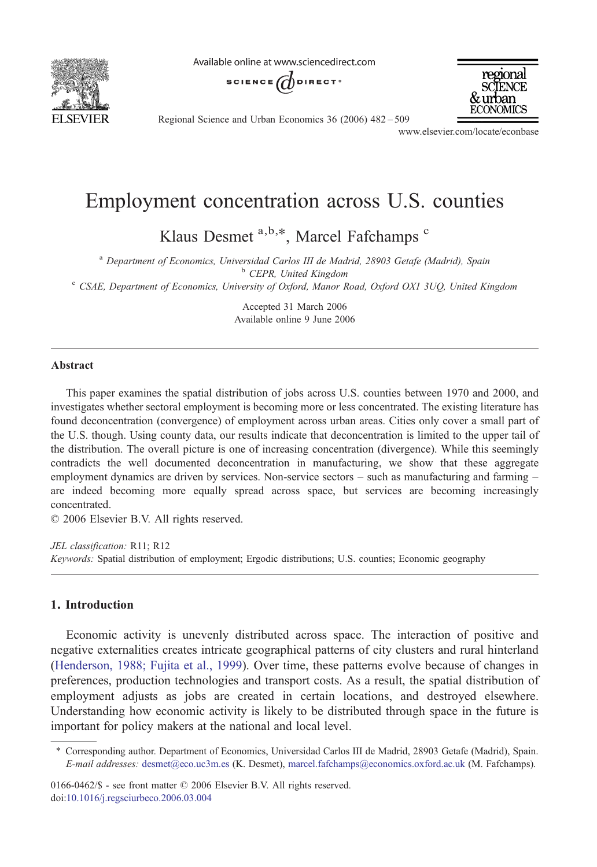

Available online at www.sciencedirect.com





Regional Science and Urban Economics 36 (2006) 482–509

www.elsevier.com/locate/econbase

## Employment concentration across U.S. counties

Klaus Desmet a,b,\*, Marcel Fafchamps c

<sup>a</sup> Department of Economics, Universidad Carlos III de Madrid, 28903 Getafe (Madrid), Spain b CEPR, United Kingdom c CSAE, Department of Economics, University of Oxford, Manor Road, Oxford OX1 3UQ, United Kingdom

Accepted 31 March 2006 Available online 9 June 2006

## Abstract

This paper examines the spatial distribution of jobs across U.S. counties between 1970 and 2000, and investigates whether sectoral employment is becoming more or less concentrated. The existing literature has found deconcentration (convergence) of employment across urban areas. Cities only cover a small part of the U.S. though. Using county data, our results indicate that deconcentration is limited to the upper tail of the distribution. The overall picture is one of increasing concentration (divergence). While this seemingly contradicts the well documented deconcentration in manufacturing, we show that these aggregate employment dynamics are driven by services. Non-service sectors – such as manufacturing and farming – are indeed becoming more equally spread across space, but services are becoming increasingly concentrated.

© 2006 Elsevier B.V. All rights reserved.

JEL classification: R11; R12 Keywords: Spatial distribution of employment; Ergodic distributions; U.S. counties; Economic geography

## 1. Introduction

Economic activity is unevenly distributed across space. The interaction of positive and negative externalities creates intricate geographical patterns of city clusters and rural hinterland [\(Henderson, 1988; Fujita et al., 1999\)](#page--1-0). Over time, these patterns evolve because of changes in preferences, production technologies and transport costs. As a result, the spatial distribution of employment adjusts as jobs are created in certain locations, and destroyed elsewhere. Understanding how economic activity is likely to be distributed through space in the future is important for policy makers at the national and local level.

0166-0462/\$ - see front matter © 2006 Elsevier B.V. All rights reserved. doi[:10.1016/j.regsciurbeco.2006.03.004](http://dx.doi.org/10.1016/j.regsciurbeco.2006.03.004)

<sup>⁎</sup> Corresponding author. Department of Economics, Universidad Carlos III de Madrid, 28903 Getafe (Madrid), Spain. E-mail addresses: [desmet@eco.uc3m.es](mailto:desmet@eco.uc3m.es) (K. Desmet), [marcel.fafchamps@economics.oxford.ac.uk](mailto:marcel.fafchamps@economics.oxford.ac.uk) (M. Fafchamps).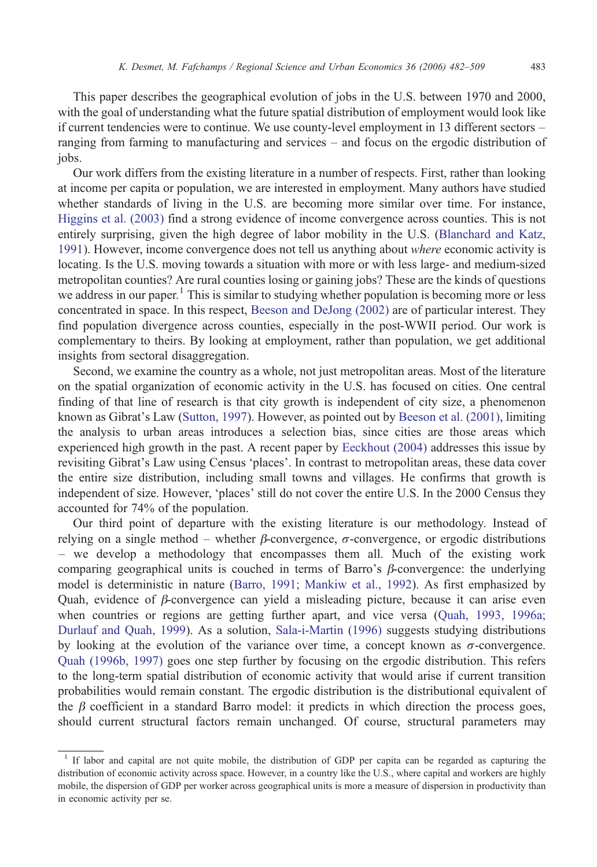This paper describes the geographical evolution of jobs in the U.S. between 1970 and 2000, with the goal of understanding what the future spatial distribution of employment would look like if current tendencies were to continue. We use county-level employment in 13 different sectors – ranging from farming to manufacturing and services – and focus on the ergodic distribution of jobs.

Our work differs from the existing literature in a number of respects. First, rather than looking at income per capita or population, we are interested in employment. Many authors have studied whether standards of living in the U.S. are becoming more similar over time. For instance, [Higgins et al. \(2003\)](#page--1-0) find a strong evidence of income convergence across counties. This is not entirely surprising, given the high degree of labor mobility in the U.S. [\(Blanchard and Katz,](#page--1-0) [1991](#page--1-0)). However, income convergence does not tell us anything about where economic activity is locating. Is the U.S. moving towards a situation with more or with less large- and medium-sized metropolitan counties? Are rural counties losing or gaining jobs? These are the kinds of questions we address in our paper.<sup>1</sup> This is similar to studying whether population is becoming more or less concentrated in space. In this respect, [Beeson and DeJong \(2002\)](#page--1-0) are of particular interest. They find population divergence across counties, especially in the post-WWII period. Our work is complementary to theirs. By looking at employment, rather than population, we get additional insights from sectoral disaggregation.

Second, we examine the country as a whole, not just metropolitan areas. Most of the literature on the spatial organization of economic activity in the U.S. has focused on cities. One central finding of that line of research is that city growth is independent of city size, a phenomenon known as Gibrat's Law [\(Sutton, 1997\)](#page--1-0). However, as pointed out by [Beeson et al. \(2001\),](#page--1-0) limiting the analysis to urban areas introduces a selection bias, since cities are those areas which experienced high growth in the past. A recent paper by [Eeckhout \(2004\)](#page--1-0) addresses this issue by revisiting Gibrat's Law using Census 'places'. In contrast to metropolitan areas, these data cover the entire size distribution, including small towns and villages. He confirms that growth is independent of size. However, 'places' still do not cover the entire U.S. In the 2000 Census they accounted for 74% of the population.

Our third point of departure with the existing literature is our methodology. Instead of relying on a single method – whether β-convergence,  $\sigma$ -convergence, or ergodic distributions – we develop a methodology that encompasses them all. Much of the existing work comparing geographical units is couched in terms of Barro's  $\beta$ -convergence: the underlying model is deterministic in nature [\(Barro, 1991; Mankiw et al., 1992\)](#page--1-0). As first emphasized by Quah, evidence of  $\beta$ -convergence can yield a misleading picture, because it can arise even when countries or regions are getting further apart, and vice versa ([Quah, 1993, 1996a;](#page--1-0) [Durlauf and Quah, 1999\)](#page--1-0). As a solution, [Sala-i-Martin \(1996\)](#page--1-0) suggests studying distributions by looking at the evolution of the variance over time, a concept known as σ-convergence. [Quah \(1996b, 1997\)](#page--1-0) goes one step further by focusing on the ergodic distribution. This refers to the long-term spatial distribution of economic activity that would arise if current transition probabilities would remain constant. The ergodic distribution is the distributional equivalent of the  $\beta$  coefficient in a standard Barro model: it predicts in which direction the process goes, should current structural factors remain unchanged. Of course, structural parameters may

<sup>1</sup> If labor and capital are not quite mobile, the distribution of GDP per capita can be regarded as capturing the distribution of economic activity across space. However, in a country like the U.S., where capital and workers are highly mobile, the dispersion of GDP per worker across geographical units is more a measure of dispersion in productivity than in economic activity per se.